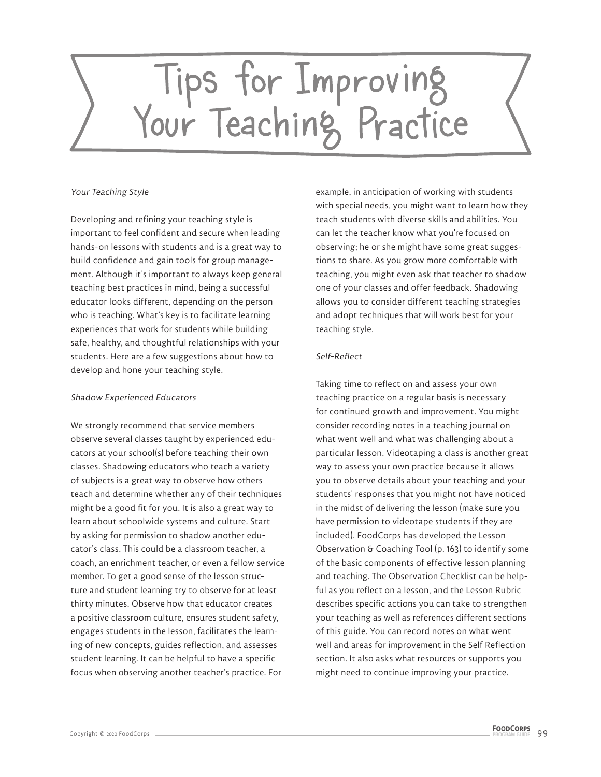# Tips for Improving<br>Your Teaching Practice

## Your Teaching Style

Developing and refining your teaching style is important to feel confident and secure when leading hands-on lessons with students and is a great way to build confidence and gain tools for group management. Although it's important to always keep general teaching best practices in mind, being a successful educator looks different, depending on the person who is teaching. What's key is to facilitate learning experiences that work for students while building safe, healthy, and thoughtful relationships with your students. Here are a few suggestions about how to develop and hone your teaching style.

# Shadow Experienced Educators

We strongly recommend that service members observe several classes taught by experienced educators at your school(s) before teaching their own classes. Shadowing educators who teach a variety of subjects is a great way to observe how others teach and determine whether any of their techniques might be a good fit for you. It is also a great way to learn about schoolwide systems and culture. Start by asking for permission to shadow another educator's class. This could be a classroom teacher, a coach, an enrichment teacher, or even a fellow service member. To get a good sense of the lesson structure and student learning try to observe for at least thirty minutes. Observe how that educator creates a positive classroom culture, ensures student safety, engages students in the lesson, facilitates the learning of new concepts, guides reflection, and assesses student learning. It can be helpful to have a specific focus when observing another teacher's practice. For

example, in anticipation of working with students with special needs, you might want to learn how they teach students with diverse skills and abilities. You can let the teacher know what you're focused on observing; he or she might have some great suggestions to share. As you grow more comfortable with teaching, you might even ask that teacher to shadow one of your classes and offer feedback. Shadowing allows you to consider different teaching strategies and adopt techniques that will work best for your teaching style.

# Self-Reflect

Taking time to reflect on and assess your own teaching practice on a regular basis is necessary for continued growth and improvement. You might consider recording notes in a teaching journal on what went well and what was challenging about a particular lesson. Videotaping a class is another great way to assess your own practice because it allows you to observe details about your teaching and your students' responses that you might not have noticed in the midst of delivering the lesson (make sure you have permission to videotape students if they are included). FoodCorps has developed the Lesson Observation & Coaching Tool (p. 163) to identify some of the basic components of effective lesson planning and teaching. The Observation Checklist can be helpful as you reflect on a lesson, and the Lesson Rubric describes specific actions you can take to strengthen your teaching as well as references different sections of this guide. You can record notes on what went well and areas for improvement in the Self Reflection section. It also asks what resources or supports you might need to continue improving your practice.